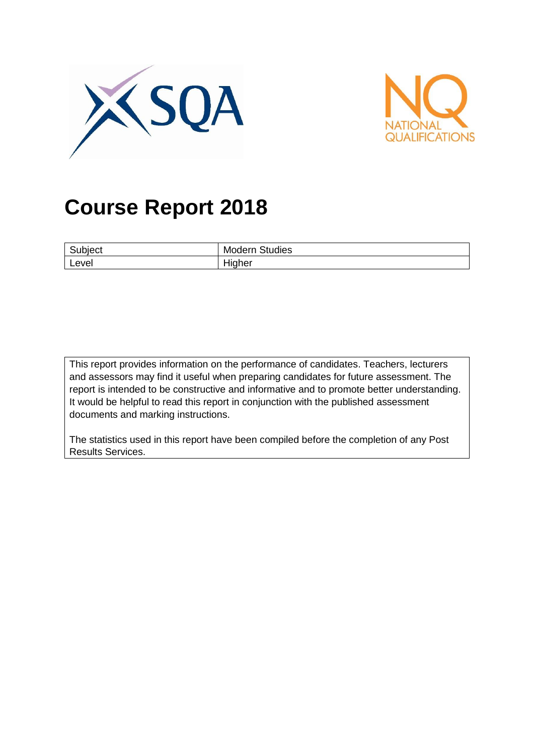



# **Course Report 2018**

| ⌒<br>ubiect | .<br>Moderr<br>Studies |
|-------------|------------------------|
| Level       | .<br>Higher            |

This report provides information on the performance of candidates. Teachers, lecturers and assessors may find it useful when preparing candidates for future assessment. The report is intended to be constructive and informative and to promote better understanding. It would be helpful to read this report in conjunction with the published assessment documents and marking instructions.

The statistics used in this report have been compiled before the completion of any Post Results Services.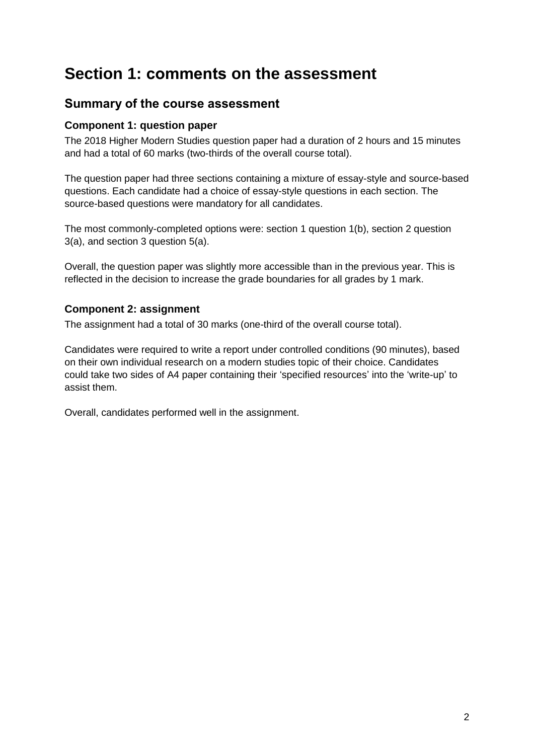# **Section 1: comments on the assessment**

# **Summary of the course assessment**

#### **Component 1: question paper**

The 2018 Higher Modern Studies question paper had a duration of 2 hours and 15 minutes and had a total of 60 marks (two-thirds of the overall course total).

The question paper had three sections containing a mixture of essay-style and source-based questions. Each candidate had a choice of essay-style questions in each section. The source-based questions were mandatory for all candidates.

The most commonly-completed options were: section 1 question 1(b), section 2 question 3(a), and section 3 question 5(a).

Overall, the question paper was slightly more accessible than in the previous year. This is reflected in the decision to increase the grade boundaries for all grades by 1 mark.

#### **Component 2: assignment**

The assignment had a total of 30 marks (one-third of the overall course total).

Candidates were required to write a report under controlled conditions (90 minutes), based on their own individual research on a modern studies topic of their choice. Candidates could take two sides of A4 paper containing their 'specified resources' into the 'write-up' to assist them.

Overall, candidates performed well in the assignment.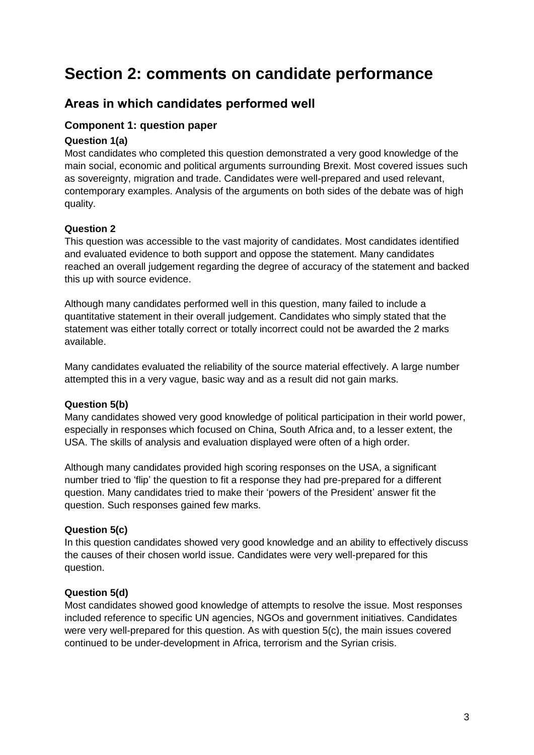# **Section 2: comments on candidate performance**

### **Areas in which candidates performed well**

#### **Component 1: question paper**

#### **Question 1(a)**

Most candidates who completed this question demonstrated a very good knowledge of the main social, economic and political arguments surrounding Brexit. Most covered issues such as sovereignty, migration and trade. Candidates were well-prepared and used relevant, contemporary examples. Analysis of the arguments on both sides of the debate was of high quality.

#### **Question 2**

This question was accessible to the vast majority of candidates. Most candidates identified and evaluated evidence to both support and oppose the statement. Many candidates reached an overall judgement regarding the degree of accuracy of the statement and backed this up with source evidence.

Although many candidates performed well in this question, many failed to include a quantitative statement in their overall judgement. Candidates who simply stated that the statement was either totally correct or totally incorrect could not be awarded the 2 marks available.

Many candidates evaluated the reliability of the source material effectively. A large number attempted this in a very vague, basic way and as a result did not gain marks.

#### **Question 5(b)**

Many candidates showed very good knowledge of political participation in their world power, especially in responses which focused on China, South Africa and, to a lesser extent, the USA. The skills of analysis and evaluation displayed were often of a high order.

Although many candidates provided high scoring responses on the USA, a significant number tried to 'flip' the question to fit a response they had pre-prepared for a different question. Many candidates tried to make their 'powers of the President' answer fit the question. Such responses gained few marks.

#### **Question 5(c)**

In this question candidates showed very good knowledge and an ability to effectively discuss the causes of their chosen world issue. Candidates were very well-prepared for this question.

#### **Question 5(d)**

Most candidates showed good knowledge of attempts to resolve the issue. Most responses included reference to specific UN agencies, NGOs and government initiatives. Candidates were very well-prepared for this question. As with question 5(c), the main issues covered continued to be under-development in Africa, terrorism and the Syrian crisis.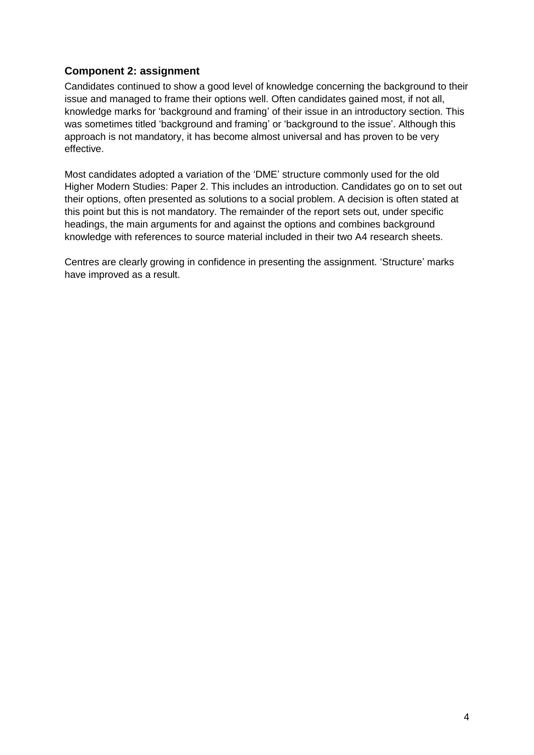#### **Component 2: assignment**

Candidates continued to show a good level of knowledge concerning the background to their issue and managed to frame their options well. Often candidates gained most, if not all, knowledge marks for 'background and framing' of their issue in an introductory section. This was sometimes titled 'background and framing' or 'background to the issue'. Although this approach is not mandatory, it has become almost universal and has proven to be very effective.

Most candidates adopted a variation of the 'DME' structure commonly used for the old Higher Modern Studies: Paper 2. This includes an introduction. Candidates go on to set out their options, often presented as solutions to a social problem. A decision is often stated at this point but this is not mandatory. The remainder of the report sets out, under specific headings, the main arguments for and against the options and combines background knowledge with references to source material included in their two A4 research sheets.

Centres are clearly growing in confidence in presenting the assignment. 'Structure' marks have improved as a result.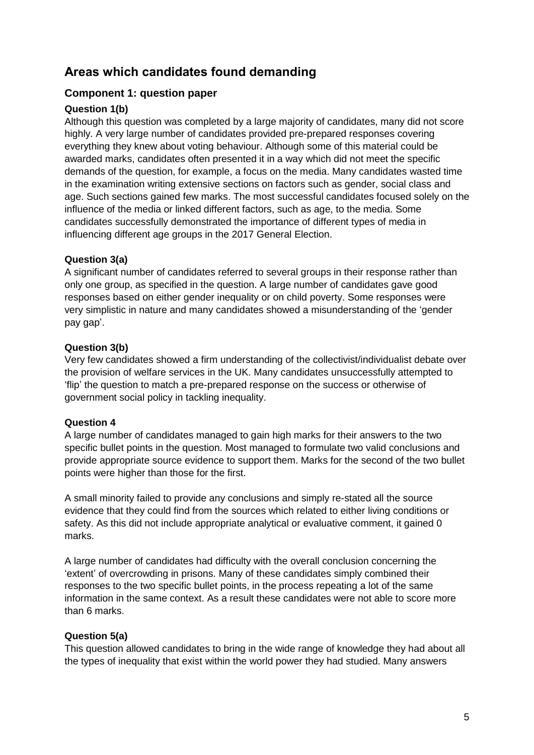# **Areas which candidates found demanding**

#### **Component 1: question paper**

#### **Question 1(b)**

Although this question was completed by a large majority of candidates, many did not score highly. A very large number of candidates provided pre-prepared responses covering everything they knew about voting behaviour. Although some of this material could be awarded marks, candidates often presented it in a way which did not meet the specific demands of the question, for example, a focus on the media. Many candidates wasted time in the examination writing extensive sections on factors such as gender, social class and age. Such sections gained few marks. The most successful candidates focused solely on the influence of the media or linked different factors, such as age, to the media. Some candidates successfully demonstrated the importance of different types of media in influencing different age groups in the 2017 General Election.

#### **Question 3(a)**

A significant number of candidates referred to several groups in their response rather than only one group, as specified in the question. A large number of candidates gave good responses based on either gender inequality or on child poverty. Some responses were very simplistic in nature and many candidates showed a misunderstanding of the 'gender pay gap'.

#### **Question 3(b)**

Very few candidates showed a firm understanding of the collectivist/individualist debate over the provision of welfare services in the UK. Many candidates unsuccessfully attempted to 'flip' the question to match a pre-prepared response on the success or otherwise of government social policy in tackling inequality.

#### **Question 4**

A large number of candidates managed to gain high marks for their answers to the two specific bullet points in the question. Most managed to formulate two valid conclusions and provide appropriate source evidence to support them. Marks for the second of the two bullet points were higher than those for the first.

A small minority failed to provide any conclusions and simply re-stated all the source evidence that they could find from the sources which related to either living conditions or safety. As this did not include appropriate analytical or evaluative comment, it gained 0 marks.

A large number of candidates had difficulty with the overall conclusion concerning the 'extent' of overcrowding in prisons. Many of these candidates simply combined their responses to the two specific bullet points, in the process repeating a lot of the same information in the same context. As a result these candidates were not able to score more than 6 marks.

#### **Question 5(a)**

This question allowed candidates to bring in the wide range of knowledge they had about all the types of inequality that exist within the world power they had studied. Many answers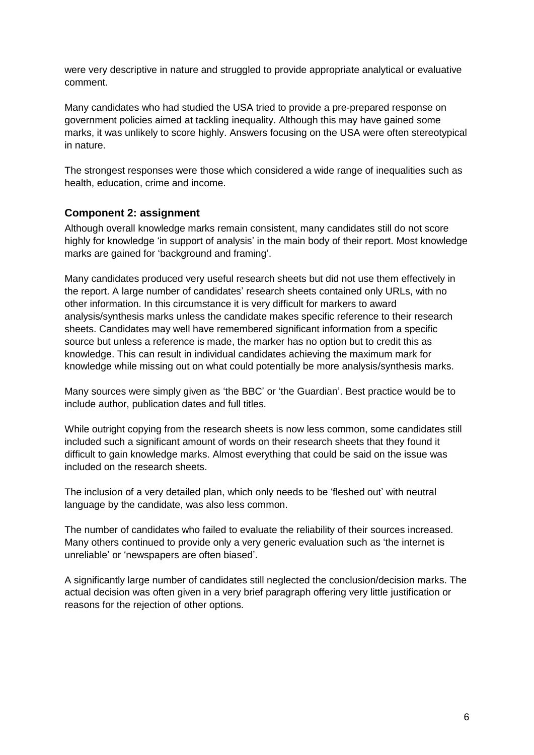were very descriptive in nature and struggled to provide appropriate analytical or evaluative comment.

Many candidates who had studied the USA tried to provide a pre-prepared response on government policies aimed at tackling inequality. Although this may have gained some marks, it was unlikely to score highly. Answers focusing on the USA were often stereotypical in nature.

The strongest responses were those which considered a wide range of inequalities such as health, education, crime and income.

#### **Component 2: assignment**

Although overall knowledge marks remain consistent, many candidates still do not score highly for knowledge 'in support of analysis' in the main body of their report. Most knowledge marks are gained for 'background and framing'.

Many candidates produced very useful research sheets but did not use them effectively in the report. A large number of candidates' research sheets contained only URLs, with no other information. In this circumstance it is very difficult for markers to award analysis/synthesis marks unless the candidate makes specific reference to their research sheets. Candidates may well have remembered significant information from a specific source but unless a reference is made, the marker has no option but to credit this as knowledge. This can result in individual candidates achieving the maximum mark for knowledge while missing out on what could potentially be more analysis/synthesis marks.

Many sources were simply given as 'the BBC' or 'the Guardian'. Best practice would be to include author, publication dates and full titles.

While outright copying from the research sheets is now less common, some candidates still included such a significant amount of words on their research sheets that they found it difficult to gain knowledge marks. Almost everything that could be said on the issue was included on the research sheets.

The inclusion of a very detailed plan, which only needs to be 'fleshed out' with neutral language by the candidate, was also less common.

The number of candidates who failed to evaluate the reliability of their sources increased. Many others continued to provide only a very generic evaluation such as 'the internet is unreliable' or 'newspapers are often biased'.

A significantly large number of candidates still neglected the conclusion/decision marks. The actual decision was often given in a very brief paragraph offering very little justification or reasons for the rejection of other options.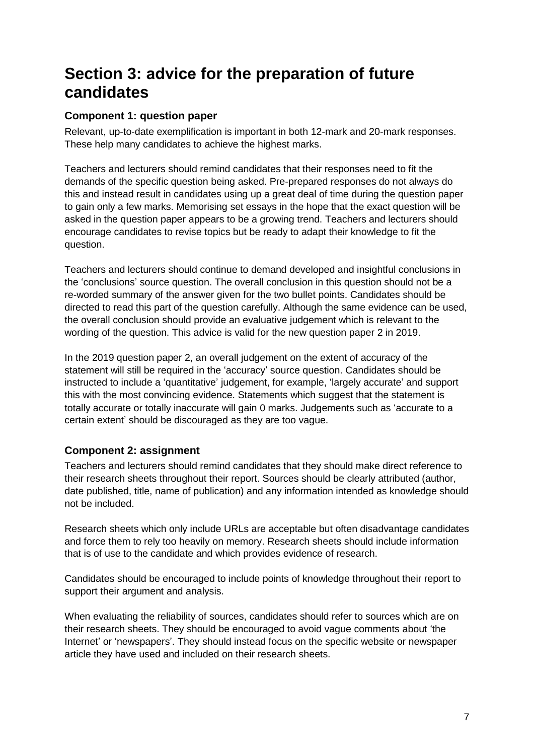# **Section 3: advice for the preparation of future candidates**

#### **Component 1: question paper**

Relevant, up-to-date exemplification is important in both 12-mark and 20-mark responses. These help many candidates to achieve the highest marks.

Teachers and lecturers should remind candidates that their responses need to fit the demands of the specific question being asked. Pre-prepared responses do not always do this and instead result in candidates using up a great deal of time during the question paper to gain only a few marks. Memorising set essays in the hope that the exact question will be asked in the question paper appears to be a growing trend. Teachers and lecturers should encourage candidates to revise topics but be ready to adapt their knowledge to fit the question.

Teachers and lecturers should continue to demand developed and insightful conclusions in the 'conclusions' source question. The overall conclusion in this question should not be a re-worded summary of the answer given for the two bullet points. Candidates should be directed to read this part of the question carefully. Although the same evidence can be used, the overall conclusion should provide an evaluative judgement which is relevant to the wording of the question. This advice is valid for the new question paper 2 in 2019.

In the 2019 question paper 2, an overall judgement on the extent of accuracy of the statement will still be required in the 'accuracy' source question. Candidates should be instructed to include a 'quantitative' judgement, for example, 'largely accurate' and support this with the most convincing evidence. Statements which suggest that the statement is totally accurate or totally inaccurate will gain 0 marks. Judgements such as 'accurate to a certain extent' should be discouraged as they are too vague.

### **Component 2: assignment**

Teachers and lecturers should remind candidates that they should make direct reference to their research sheets throughout their report. Sources should be clearly attributed (author, date published, title, name of publication) and any information intended as knowledge should not be included.

Research sheets which only include URLs are acceptable but often disadvantage candidates and force them to rely too heavily on memory. Research sheets should include information that is of use to the candidate and which provides evidence of research.

Candidates should be encouraged to include points of knowledge throughout their report to support their argument and analysis.

When evaluating the reliability of sources, candidates should refer to sources which are on their research sheets. They should be encouraged to avoid vague comments about 'the Internet' or 'newspapers'. They should instead focus on the specific website or newspaper article they have used and included on their research sheets.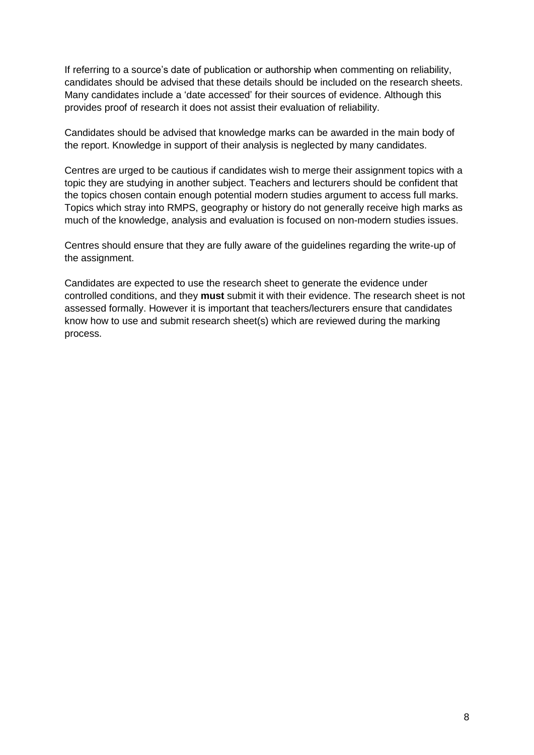If referring to a source's date of publication or authorship when commenting on reliability, candidates should be advised that these details should be included on the research sheets. Many candidates include a 'date accessed' for their sources of evidence. Although this provides proof of research it does not assist their evaluation of reliability.

Candidates should be advised that knowledge marks can be awarded in the main body of the report. Knowledge in support of their analysis is neglected by many candidates.

Centres are urged to be cautious if candidates wish to merge their assignment topics with a topic they are studying in another subject. Teachers and lecturers should be confident that the topics chosen contain enough potential modern studies argument to access full marks. Topics which stray into RMPS, geography or history do not generally receive high marks as much of the knowledge, analysis and evaluation is focused on non-modern studies issues.

Centres should ensure that they are fully aware of the guidelines regarding the write-up of the assignment.

Candidates are expected to use the research sheet to generate the evidence under controlled conditions, and they **must** submit it with their evidence. The research sheet is not assessed formally. However it is important that teachers/lecturers ensure that candidates know how to use and submit research sheet(s) which are reviewed during the marking process.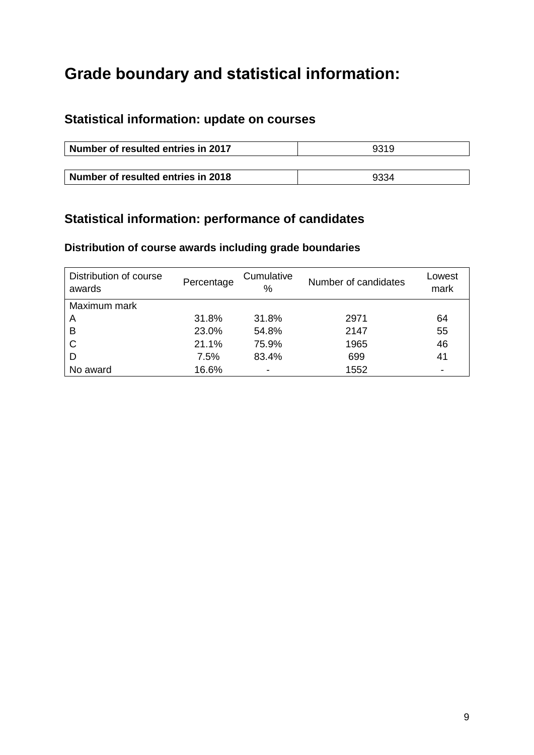# **Grade boundary and statistical information:**

# **Statistical information: update on courses**

| Number of resulted entries in 2017 | 9319 |
|------------------------------------|------|
|                                    |      |
| Number of resulted entries in 2018 | 9334 |

# **Statistical information: performance of candidates**

## **Distribution of course awards including grade boundaries**

| Distribution of course<br>awards | Percentage | Cumulative<br>℅          | Number of candidates | Lowest<br>mark           |
|----------------------------------|------------|--------------------------|----------------------|--------------------------|
| Maximum mark                     |            |                          |                      |                          |
| A                                | 31.8%      | 31.8%                    | 2971                 | 64                       |
| B                                | 23.0%      | 54.8%                    | 2147                 | 55                       |
| $\mathsf{C}$                     | 21.1%      | 75.9%                    | 1965                 | 46                       |
| D                                | 7.5%       | 83.4%                    | 699                  | 41                       |
| No award                         | 16.6%      | $\overline{\phantom{a}}$ | 1552                 | $\overline{\phantom{0}}$ |